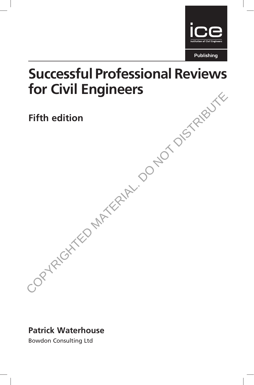

# Successful Professional Reviews for Civil Engineers Fifth edition<br>Fifth edition<br>CORYRIGHTED MATERIAL. OONOT DISTRIBUTE

# Fifth edition

Patrick Waterhouse

Bowdon Consulting Ltd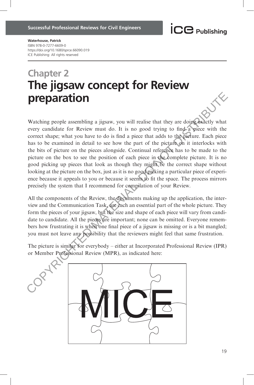Waterhouse, Patrick ISBN 978-0-7277-6609-0 https://doi.org/10.1680/sprce.66090.019 ICE Publishing: All rights reserved

# Chapter 2 The jigsaw concept for Review preparation

Watching people assembling a jigsaw, you will realise that they are doing exactly what every candidate for Review must do. It is no good trying to find a piece with the correct shape; what you have to do is find a piece that adds to the pieture. Each piece has to be examined in detail to see how the part of the picture on it interlocks with the bits of picture on the pieces alongside. Continual reference has to be made to the picture on the box to see the position of each piece in the complete picture. It is no good picking up pieces that look as though they might be the correct shape without looking at the picture on the box, just as it is no good picking a particular piece of experience because it appeals to you or because it seems to fit the space. The process mirrors precisely the system that I recommend for compilation of your Review. **Dreparation**<br>Watching people assembling a jigsaw, you will realise that they are doingleadedly what<br>every candidate for Review must do. It is no good trying to find a piece with the<br>correct shape; what you have to do is f

All the components of the Review, the documents making up the application, the interview and the Communication Task, are each an essential part of the whole picture. They form the pieces of your jigsaw, but the size and shape of each piece will vary from candidate to candidate. All the pieces are important; none can be omitted. Everyone remembers how frustrating it is when one final piece of a jigsaw is missing or is a bit mangled; you must not leave any possibility that the reviewers might feel that same frustration.

The picture is similar for everybody – either at Incorporated Professional Review (IPR) or Member Professional Review (MPR), as indicated here:

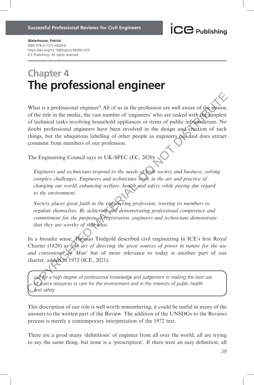Waterhouse, Patrick ISBN 978-0-7277-6609-0 https://doi.org/10.1680/sprce.66090.029 ICE Publishing: All rights reserved

# Chapter 4 The professional engineer

What is a professional engineer? All of us in the profession are well aware of the misuse of the title in the media, the vast number of 'engineers' who are tasked with the simplest of technical tasks involving household appliances or items of public infrastructure. No doubt professional engineers have been involved in the design and creation of such things, but the ubiquitous labelling of other people as engineers can and does attract comment from members of our profession. What is a professional engineer? All of us in the profession are well aware of the distinctive of the third in the media, the vast number of 'engineers' who are tasked with the distinction of schic of technical tasks invo

The Engineering Council says in UK-SPEC (EC, 2020):

Engineers and technicians respond to the needs of both society and business, solving complex challenges. Engineers and technicians work in the art and practice of changing our world, enhancing welfare, health and safety while paying due regard to the environment.

Society places great faith in the engineering profession, trusting its members to regulate themselves. By achieving and demonstrating professional competence and commitment for the purpose of registration, engineers and technicians demonstrate that they are worthy of that trust.

In a broader sense, Thomas Tredgold described civil engineering in ICE's first Royal Charter (1828) as 'the art of directing the great sources of power in nature for the use and convenience of Man' but of more relevance to today is another part of our charter, added in 1972 (ICE, 2021):

call for a high degree of professional knowledge and judgement in making the best use of scarce resources in care for the environment and in the interests of public health and safety

This description of our role is well worth remembering; it could be useful in many of the answers to the written part of the Review. The addition of the UNSDGs to the Reviews process is merely a contemporary interpretation of the 1972 text.

There are a good many 'definitions' of engineer from all over the world; all are trying to say the same thing, but none is a 'prescription'. If there were an easy definition, all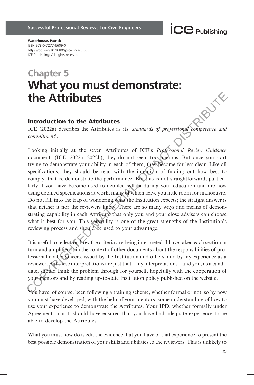### Waterhouse, Patrick ISBN 978-0-7277-6609-0 https://doi.org/10.1680/sprce.66090.035 ICE Publishing: All rights reserved

# Chapter 5 What you must demonstrate: the Attributes

### Introduction to the Attributes

ICE (2022a) describes the Attributes as its 'standards of professional competence and commitment'.

Looking initially at the seven Attributes of ICE's Professional Review Guidance documents (ICE, 2022a, 2022b), they do not seem too onerous. But once you start trying to demonstrate your ability in each of them, they become far less clear. Like all specifications, they should be read with the intention of finding out how best to comply, that is, demonstrate the performance. But this is not straightforward, particularly if you have become used to detailed syllabi during your education and are now using detailed specifications at work, many of which leave you little room for manoeuvre. Do not fall into the trap of wondering what the Institution expects; the straight answer is that neither it nor the reviewers know. There are so many ways and means of demonstrating capability in each Attribute that only you and your close advisers can choose what is best for you. This versatility is one of the great strengths of the Institution's reviewing process and should be used to your advantage. **COPYRIGHT CONSTRANT CONDUCTS**<br> **CE** (2022a) describes the Attributes as its *'standards of professional commitment'*.<br>
Looking initially at the seven Attributes of ICE's *Professional Review Guidance*<br>
documents (ICE, 202

It is useful to reflect on how the criteria are being interpreted. I have taken each section in turn and amplified it in the context of other documents about the responsibilities of professional civil engineers, issued by the Institution and others, and by my experience as a reviewer. But these interpretations are just that – my interpretations – and you, as a candidate, should think the problem through for yourself, hopefully with the cooperation of your mentors and by reading up-to-date Institution policy published on the website.

You have, of course, been following a training scheme, whether formal or not, so by now you must have developed, with the help of your mentors, some understanding of how to use your experience to demonstrate the Attributes. Your IPD, whether formally under Agreement or not, should have ensured that you have had adequate experience to be able to develop the Attributes.

What you must now do is edit the evidence that you have of that experience to present the best possible demonstration of your skills and abilities to the reviewers. This is unlikely to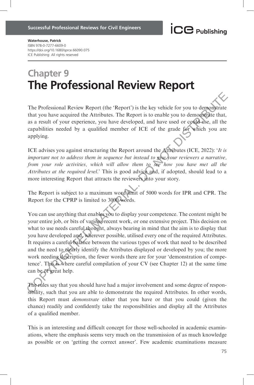Waterhouse, Patrick ISBN 978-0-7277-6609-0 https://doi.org/10.1680/sprce.66090.075 ICE Publishing: All rights reserved

# Chapter 9 The Professional Review Report

The Professional Review Report (the 'Report') is the key vehicle for you to demonstrate that you have acquired the Attributes. The Report is to enable you to demonstrate that, as a result of your experience, you have developed, and have used or could use, all the capabilities needed by a qualified member of ICE of the grade for which you are applying.

ICE advises you against structuring the Report around the Attributes (ICE, 2022): 'It is important not to address them in sequence but instead to give your reviewers a narrative, from your role activities, which will allow them to see how you have met all the Attributes at the required level.' This is good advice and, if adopted, should lead to a more interesting Report that attracts the reviewers into your story.

The Report is subject to a maximum word limit of 5000 words for IPR and CPR. The Report for the CPRP is limited to 3000 words.

You can use anything that enables you to display your competence. The content might be your entire job, or bits of various recent work, or one extensive project. This decision on what to use needs careful thought, always bearing in mind that the aim is to display that you have developed and, wherever possible, utilised every one of the required Attributes. It requires a careful balance between the various types of work that need to be described and the need to clearly identify the Attributes displayed or developed by you; the more work needing description, the fewer words there are for your 'demonstration of competence'. This is where careful compilation of your CV (see Chapter 12) at the same time can be of great help. The Professional Review Report (the 'Report') is the key vehicle for you to demonstrate that you have acquired the Attributes. The Report is to enable you to demonstrate as a result of your experience, you have developed,

The rules say that you should have had a major involvement and some degree of responsibility, such that you are able to demonstrate the required Attributes. In other words, this Report must demonstrate either that you have or that you could (given the chance) readily and confidently take the responsibilities and display all the Attributes of a qualified member.

This is an interesting and difficult concept for those well-schooled in academic examinations, where the emphasis seems very much on the transmission of as much knowledge as possible or on 'getting the correct answer'. Few academic examinations measure